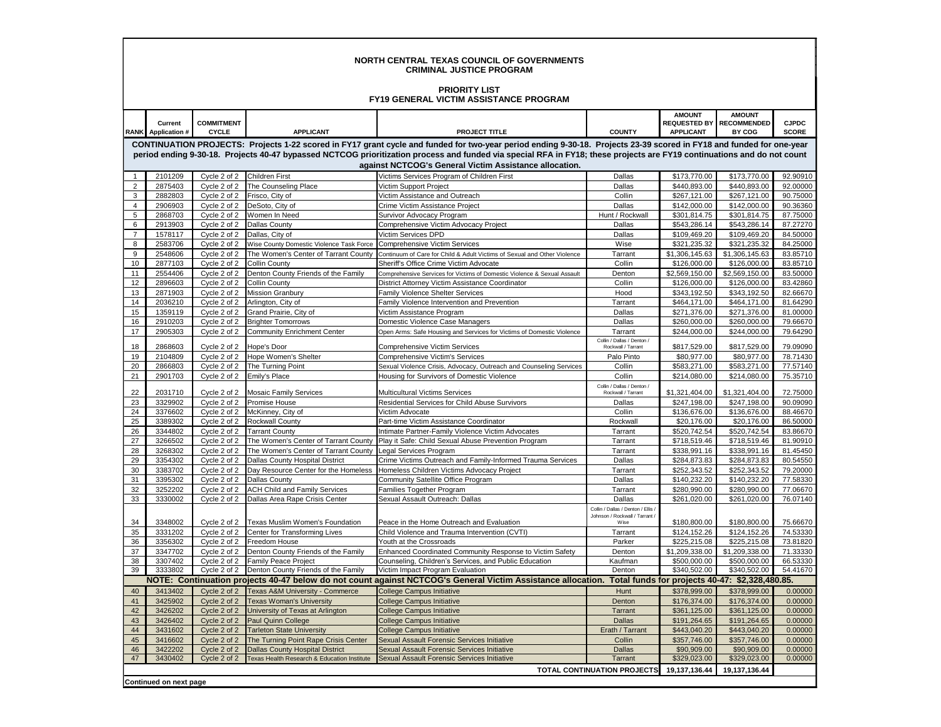| <b>NORTH CENTRAL TEXAS COUNCIL OF GOVERNMENTS</b><br><b>CRIMINAL JUSTICE PROGRAM</b>  |                                      |                                   |                                                                         |                                                                                                                                                                         |                                                                            |                              |                                           |                              |  |  |  |  |
|---------------------------------------------------------------------------------------|--------------------------------------|-----------------------------------|-------------------------------------------------------------------------|-------------------------------------------------------------------------------------------------------------------------------------------------------------------------|----------------------------------------------------------------------------|------------------------------|-------------------------------------------|------------------------------|--|--|--|--|
| <b>PRIORITY LIST</b><br><b>FY19 GENERAL VICTIM ASSISTANCE PROGRAM</b>                 |                                      |                                   |                                                                         |                                                                                                                                                                         |                                                                            |                              |                                           |                              |  |  |  |  |
|                                                                                       |                                      |                                   |                                                                         |                                                                                                                                                                         |                                                                            | <b>AMOUNT</b>                | <b>AMOUNT</b>                             |                              |  |  |  |  |
|                                                                                       | Current<br><b>RANK</b> Application # | <b>COMMITMENT</b><br><b>CYCLE</b> | <b>APPLICANT</b>                                                        | <b>PROJECT TITLE</b>                                                                                                                                                    | <b>COUNTY</b>                                                              | <b>APPLICANT</b>             | <b>REQUESTED BY RECOMMENDED</b><br>BY COG | <b>CJPDC</b><br><b>SCORE</b> |  |  |  |  |
|                                                                                       |                                      |                                   |                                                                         | CONTINUATION PROJECTS: Projects 1-22 scored in FY17 grant cycle and funded for two-year period ending 9-30-18. Projects 23-39 scored in FY18 and funded for one-year    |                                                                            |                              |                                           |                              |  |  |  |  |
|                                                                                       |                                      |                                   |                                                                         | period ending 9-30-18. Projects 40-47 bypassed NCTCOG prioritization process and funded via special RFA in FY18; these projects are FY19 continuations and do not count |                                                                            |                              |                                           |                              |  |  |  |  |
| against NCTCOG's General Victim Assistance allocation.<br>Cycle 2 of 2 Children First |                                      |                                   |                                                                         |                                                                                                                                                                         |                                                                            |                              |                                           |                              |  |  |  |  |
| $\mathbf{1}$<br>$\overline{2}$                                                        | 2101209<br>2875403                   |                                   | Cycle 2 of 2 The Counseling Place                                       | Victims Services Program of Children First<br>Victim Support Project                                                                                                    | Dallas<br>Dallas                                                           | \$173,770.00<br>\$440,893.00 | \$173,770.00<br>\$440,893.00              | 92.90910<br>92.00000         |  |  |  |  |
| 3                                                                                     | 2882803                              | Cycle 2 of 2                      | Frisco, City of                                                         | Victim Assistance and Outreach                                                                                                                                          | Collin                                                                     | \$267,121.00                 | \$267,121.00                              | 90.75000                     |  |  |  |  |
| $\overline{4}$                                                                        | 2906903                              |                                   | Cycle 2 of 2 DeSoto, City of                                            | Crime Victim Assistance Project                                                                                                                                         | Dallas                                                                     | \$142,000.00                 | \$142,000.00                              | 90.36360                     |  |  |  |  |
| 5                                                                                     | 2868703                              | Cycle 2 of 2                      | Women In Need                                                           | Survivor Advocacy Program                                                                                                                                               | Hunt / Rockwall                                                            | \$301,814.75                 | \$301,814.75                              | 87.75000                     |  |  |  |  |
| 6                                                                                     | 2913903                              | Cycle 2 of 2                      | <b>Dallas County</b>                                                    | Comprehensive Victim Advocacy Project                                                                                                                                   | Dallas                                                                     | \$543,286.14                 | \$543,286.14                              | 87.27270                     |  |  |  |  |
| $\overline{7}$                                                                        | 1578117                              | Cycle 2 of 2                      | Dallas, City of                                                         | Victim Services DPD                                                                                                                                                     | Dallas                                                                     | \$109,469.20                 | \$109,469.20                              | 84.50000                     |  |  |  |  |
| 8                                                                                     | 2583706                              | Cycle 2 of 2                      | Wise County Domestic Violence Task Force Comprehensive Victim Services  |                                                                                                                                                                         | Wise                                                                       | \$321,235.32                 | \$321,235.32                              | 84.25000                     |  |  |  |  |
| 9                                                                                     | 2548606                              | Cycle 2 of 2                      | The Women's Center of Tarrant County                                    | Continuum of Care for Child & Adult Victims of Sexual and Other Violence                                                                                                | Tarrant                                                                    | \$1,306,145.63               | \$1,306,145.63                            | 83.85710                     |  |  |  |  |
| 10                                                                                    | 2877103                              | Cycle 2 of 2                      | <b>Collin County</b>                                                    | Sheriff's Office Crime Victim Advocate                                                                                                                                  | Collin                                                                     | \$126,000.00                 | \$126,000.00                              | 83.85710                     |  |  |  |  |
| 11                                                                                    | 2554406                              | Cycle 2 of 2                      | Denton County Friends of the Family                                     | Comprehensive Services for Victims of Domestic Violence & Sexual Assault                                                                                                | Denton                                                                     | \$2,569,150.00               | \$2,569,150.00                            | 83.50000                     |  |  |  |  |
| 12<br>13                                                                              | 2896603<br>2871903                   | Cycle 2 of 2                      | <b>Collin County</b><br>Cycle 2 of 2 Mission Granbury                   | District Attorney Victim Assistance Coordinator<br>Family Violence Shelter Services                                                                                     | Collin<br>Hood                                                             | \$126,000.00<br>\$343,192.50 | \$126,000.00<br>\$343,192.50              | 83.42860<br>82.66670         |  |  |  |  |
| 14                                                                                    | 2036210                              | Cycle 2 of 2                      | Arlington, City of                                                      | Family Violence Intervention and Prevention                                                                                                                             | Tarrant                                                                    | \$464,171.00                 | \$464,171.00                              | 81.64290                     |  |  |  |  |
| 15                                                                                    | 1359119                              | Cycle 2 of 2                      | Grand Prairie, City of                                                  | Victim Assistance Program                                                                                                                                               | Dallas                                                                     | \$271,376.00                 | \$271,376.00                              | 81.00000                     |  |  |  |  |
| 16                                                                                    | 2910203                              | Cycle 2 of 2                      | <b>Brighter Tomorrows</b>                                               | Domestic Violence Case Managers                                                                                                                                         | Dallas                                                                     | \$260,000.00                 | \$260,000.00                              | 79.66670                     |  |  |  |  |
| 17                                                                                    | 2905303                              | Cycle 2 of 2                      | <b>Community Enrichment Center</b>                                      | Open Arms: Safe Housing and Services for Victims of Domestic Violence                                                                                                   | Tarrant                                                                    | \$244,000.00                 | \$244,000.00                              | 79.64290                     |  |  |  |  |
|                                                                                       | 2868603                              | Cycle 2 of 2                      | Hope's Door                                                             |                                                                                                                                                                         | Collin / Dallas / Denton /<br>Rockwall / Tarrant                           | \$817,529.00                 | \$817,529.00                              | 79.09090                     |  |  |  |  |
| 18<br>19                                                                              | 2104809                              |                                   | Cycle 2 of 2 Hope Women's Shelter                                       | Comprehensive Victim Services<br>Comprehensive Victim's Services                                                                                                        | Palo Pinto                                                                 | \$80,977.00                  | \$80,977.00                               | 78.71430                     |  |  |  |  |
| 20                                                                                    | 2866803                              | Cycle 2 of 2                      | The Turning Point                                                       | Sexual Violence Crisis, Advocacy, Outreach and Counseling Services                                                                                                      | Collin                                                                     | \$583,271.00                 | \$583,271.00                              | 77.57140                     |  |  |  |  |
| 21                                                                                    | 2901703                              | Cycle 2 of 2                      | <b>Emily's Place</b>                                                    | Housing for Survivors of Domestic Violence                                                                                                                              | Collin                                                                     | \$214.080.00                 | \$214,080.00                              | 75.35710                     |  |  |  |  |
| 22                                                                                    | 2031710                              |                                   | Cycle 2 of 2 Mosaic Family Services                                     | Multicultural Victims Services                                                                                                                                          | Collin / Dallas / Denton /<br>Rockwall / Tarrant                           | \$1,321,404.00               | \$1,321,404.00                            | 72.75000                     |  |  |  |  |
| 23                                                                                    | 3329902                              | Cycle 2 of 2                      | Promise House                                                           | Residential Services for Child Abuse Survivors                                                                                                                          | Dallas                                                                     | \$247,198.00                 | \$247,198.00                              | 90.09090                     |  |  |  |  |
| 24                                                                                    | 3376602                              | Cycle 2 of 2                      | McKinney, City of                                                       | Victim Advocate                                                                                                                                                         | Collin                                                                     | \$136,676.00                 | \$136,676.00                              | 88.46670                     |  |  |  |  |
| 25                                                                                    | 3389302                              |                                   | Cycle 2 of 2 Rockwall County                                            | Part-time Victim Assistance Coordinator                                                                                                                                 | Rockwall                                                                   | \$20,176.00                  | \$20,176.00                               | 86.50000                     |  |  |  |  |
| 26                                                                                    | 3344802                              | Cycle 2 of 2                      | <b>Tarrant County</b>                                                   | ntimate Partner-Family Violence Victim Advocates                                                                                                                        | Tarrant                                                                    | \$520,742.54                 | \$520,742.54                              | 83.86670                     |  |  |  |  |
| 27                                                                                    | 3266502                              | Cycle 2 of 2                      | The Women's Center of Tarrant County                                    | Play it Safe: Child Sexual Abuse Prevention Program                                                                                                                     | Tarrant                                                                    | \$718,519.46                 | \$718,519.46                              | 81.90910                     |  |  |  |  |
| 28<br>29                                                                              | 3268302<br>3354302                   | Cycle 2 of 2<br>Cycle 2 of 2      | The Women's Center of Tarrant County<br>Dallas County Hospital District | Legal Services Program<br>Crime Victims Outreach and Family-Informed Trauma Services                                                                                    | Tarrant<br>Dallas                                                          | \$338,991.16<br>\$284,873.83 | \$338,991.16<br>\$284,873.83              | 81.45450<br>80.54550         |  |  |  |  |
| 30                                                                                    | 3383702                              | Cycle 2 of 2                      | Day Resource Center for the Homeless                                    | Homeless Children Victims Advocacy Project                                                                                                                              | Tarrant                                                                    | \$252,343.52                 | \$252,343.52                              | 79.20000                     |  |  |  |  |
| 31                                                                                    | 3395302                              | Cycle 2 of 2                      | <b>Dallas County</b>                                                    | Community Satellite Office Program                                                                                                                                      | Dallas                                                                     | \$140,232.20                 | \$140,232.20                              | 77.58330                     |  |  |  |  |
| 32                                                                                    | 3252202                              | Cycle 2 of 2                      | <b>ACH Child and Family Services</b>                                    | Families Together Program                                                                                                                                               | Tarrant                                                                    | \$280,990.00                 | \$280,990.00                              | 77.06670                     |  |  |  |  |
| 33                                                                                    | 3330002                              | Cycle 2 of 2                      | Dallas Area Rape Crisis Center                                          | Sexual Assault Outreach: Dallas                                                                                                                                         | Dallas                                                                     | \$261,020.00                 | \$261,020.00                              | 76.07140                     |  |  |  |  |
| 34                                                                                    | 3348002                              | Cycle 2 of 2                      | Texas Muslim Women's Foundation                                         | Peace in the Home Outreach and Evaluation                                                                                                                               | Collin / Dallas / Denton / Ellis<br>Johnson / Rockwall / Tarrant /<br>Wise | \$180,800.00                 | \$180,800.00                              | 75.66670                     |  |  |  |  |
| 35                                                                                    | 3331202                              | Cycle 2 of 2                      | Center for Transforming Lives                                           | Child Violence and Trauma Intervention (CVTI)                                                                                                                           | Tarrant                                                                    | \$124,152.26                 | \$124,152.26                              | 74.53330                     |  |  |  |  |
| 36                                                                                    | 3356302                              |                                   | Cycle 2 of 2 Freedom House                                              | Youth at the Crossroads                                                                                                                                                 | Parker                                                                     | \$225,215.08                 | \$225,215.08                              | 73.81820                     |  |  |  |  |
| 37                                                                                    | 3347702                              |                                   | Cycle 2 of 2 Denton County Friends of the Family                        | Enhanced Coordinated Community Response to Victim Safety                                                                                                                | Denton                                                                     | \$1,209,338.00               | \$1,209,338.00                            | 71.33330                     |  |  |  |  |
| 38                                                                                    | 3307402                              |                                   | Cycle 2 of 2 Family Peace Project                                       | Counseling, Children's Services, and Public Education                                                                                                                   | Kaufman                                                                    | \$500,000.00                 | \$500,000.00                              | 66.53330                     |  |  |  |  |
| 39                                                                                    | 3333802                              |                                   | Cycle 2 of 2 Denton County Friends of the Family                        | Victim Impact Program Evaluation                                                                                                                                        | Denton                                                                     | \$340,502.00                 | \$340,502.00                              | 54.41670                     |  |  |  |  |
|                                                                                       |                                      |                                   |                                                                         | NOTE: Continuation projects 40-47 below do not count against NCTCOG's General Victim Assistance allocation. Total funds for projects 40-47: \$2,328,480.85.             |                                                                            |                              |                                           |                              |  |  |  |  |
| 40                                                                                    | 3413402                              | Cycle 2 of 2                      | Texas A&M University - Commerce                                         | <b>College Campus Initiative</b>                                                                                                                                        | Hunt                                                                       | \$378,999.00                 | \$378,999.00                              | 0.00000                      |  |  |  |  |
| 41                                                                                    | 3425902                              | Cycle 2 of 2<br>Cycle 2 of 2      | <b>Texas Woman's University</b>                                         | <b>College Campus Initiative</b>                                                                                                                                        | Denton                                                                     | \$176,374.00<br>\$361,125.00 | \$176,374.00<br>\$361,125.00              | 0.00000                      |  |  |  |  |
| 42<br>43                                                                              | 3426202<br>3426402                   | Cycle 2 of 2                      | University of Texas at Arlington<br>Paul Quinn College                  | <b>College Campus Initiative</b><br>College Campus Initiative                                                                                                           | Tarrant<br>Dallas                                                          | \$191,264.65                 | \$191,264.65                              | 0.00000<br>0.00000           |  |  |  |  |
| 44                                                                                    | 3431602                              | Cycle 2 of 2                      | <b>Tarleton State University</b>                                        | <b>College Campus Initiative</b>                                                                                                                                        | Erath / Tarrant                                                            | \$443,040.20                 | \$443,040.20                              | 0.00000                      |  |  |  |  |
| 45                                                                                    | 3416602                              | Cycle 2 of 2                      | The Turning Point Rape Crisis Center                                    | Sexual Assault Forensic Services Initiative                                                                                                                             | Collin                                                                     | \$357,746.00                 | \$357,746.00                              | 0.00000                      |  |  |  |  |
| 46                                                                                    | 3422202                              | Cycle 2 of 2                      | <b>Dallas County Hospital District</b>                                  | Sexual Assault Forensic Services Initiative                                                                                                                             | Dallas                                                                     | \$90,909.00                  | \$90,909.00                               | 0.00000                      |  |  |  |  |
| 47                                                                                    | 3430402                              | Cycle 2 of 2                      | Texas Health Research & Education Institute                             | Sexual Assault Forensic Services Initiative                                                                                                                             | Tarrant                                                                    | \$329,023.00                 | \$329,023.00                              | 0.00000                      |  |  |  |  |
| TOTAL CONTINUATION PROJECTS<br>19,137,136.44<br>19,137,136.44                         |                                      |                                   |                                                                         |                                                                                                                                                                         |                                                                            |                              |                                           |                              |  |  |  |  |
|                                                                                       | Continued on next page               |                                   |                                                                         |                                                                                                                                                                         |                                                                            |                              |                                           |                              |  |  |  |  |

IГ.